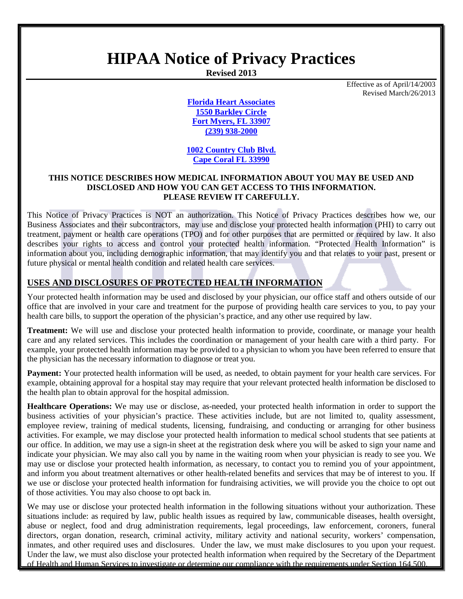# **HIPAA Notice of Privacy Practices**

**Revised 2013** 

Effective as of April/14/2003 Revised March/26/2013

**Florida Heart Associates 1550 Barkley Circle Fort Myers, FL 33907 (239) 938-2000** 

**1002 Country Club Blvd. Cape Coral FL 33990** 

#### **THIS NOTICE DESCRIBES HOW MEDICAL INFORMATION ABOUT YOU MAY BE USED AND DISCLOSED AND HOW YOU CAN GET ACCESS TO THIS INFORMATION. PLEASE REVIEW IT CAREFULLY.**

This Notice of Privacy Practices is NOT an authorization. This Notice of Privacy Practices describes how we, our Business Associates and their subcontractors, may use and disclose your protected health information (PHI) to carry out treatment, payment or health care operations (TPO) and for other purposes that are permitted or required by law. It also describes your rights to access and control your protected health information. "Protected Health Information" is information about you, including demographic information, that may identify you and that relates to your past, present or future physical or mental health condition and related health care services.

## **USES AND DISCLOSURES OF PROTECTED HEALTH INFORMATION**

Your protected health information may be used and disclosed by your physician, our office staff and others outside of our office that are involved in your care and treatment for the purpose of providing health care services to you, to pay your health care bills, to support the operation of the physician's practice, and any other use required by law.

**Treatment:** We will use and disclose your protected health information to provide, coordinate, or manage your health care and any related services. This includes the coordination or management of your health care with a third party. For example, your protected health information may be provided to a physician to whom you have been referred to ensure that the physician has the necessary information to diagnose or treat you.

**Payment:** Your protected health information will be used, as needed, to obtain payment for your health care services. For example, obtaining approval for a hospital stay may require that your relevant protected health information be disclosed to the health plan to obtain approval for the hospital admission.

**Healthcare Operations:** We may use or disclose, as-needed, your protected health information in order to support the business activities of your physician's practice. These activities include, but are not limited to, quality assessment, employee review, training of medical students, licensing, fundraising, and conducting or arranging for other business activities. For example, we may disclose your protected health information to medical school students that see patients at our office. In addition, we may use a sign-in sheet at the registration desk where you will be asked to sign your name and indicate your physician. We may also call you by name in the waiting room when your physician is ready to see you. We may use or disclose your protected health information, as necessary, to contact you to remind you of your appointment, and inform you about treatment alternatives or other health-related benefits and services that may be of interest to you. If we use or disclose your protected health information for fundraising activities, we will provide you the choice to opt out of those activities. You may also choose to opt back in.

We may use or disclose your protected health information in the following situations without your authorization. These situations include: as required by law, public health issues as required by law, communicable diseases, health oversight, abuse or neglect, food and drug administration requirements, legal proceedings, law enforcement, coroners, funeral directors, organ donation, research, criminal activity, military activity and national security, workers' compensation, inmates, and other required uses and disclosures. Under the law, we must make disclosures to you upon your request. Under the law, we must also disclose your protected health information when required by the Secretary of the Department of Health and Human Services to investigate or determine our compliance with the requirements under Section 164.500.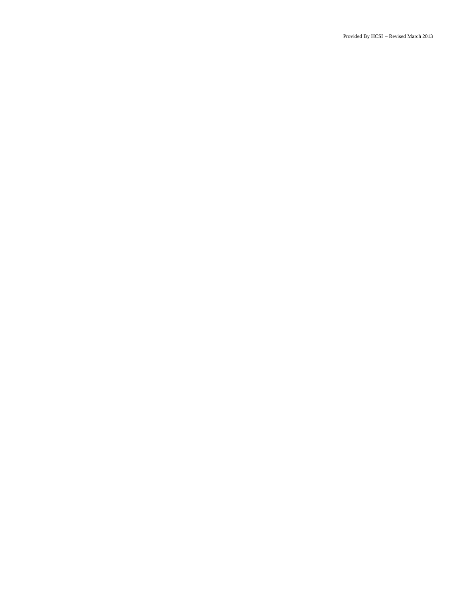Provided By HCSI – Revised March 2013